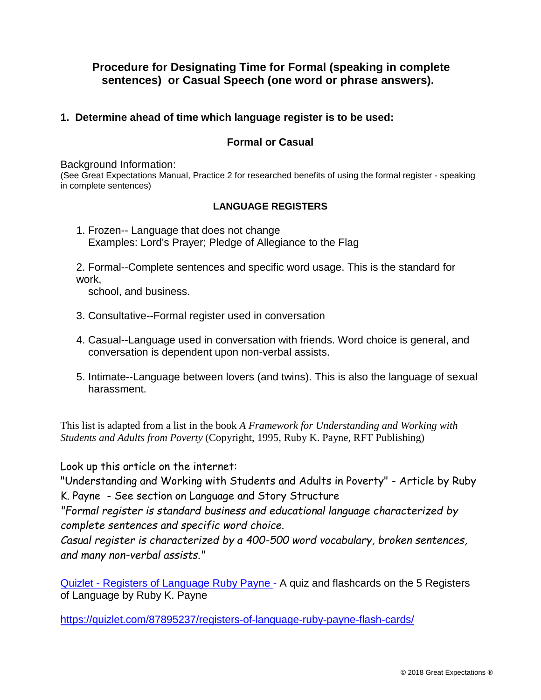# **Procedure for Designating Time for Formal (speaking in complete sentences) or Casual Speech (one word or phrase answers).**

### **1. Determine ahead of time which language register is to be used:**

#### **Formal or Casual**

Background Information:

(See Great Expectations Manual, Practice 2 for researched benefits of using the formal register - speaking in complete sentences)

#### **LANGUAGE REGISTERS**

1. Frozen-- Language that does not change Examples: Lord's Prayer; Pledge of Allegiance to the Flag

2. Formal--Complete sentences and specific word usage. This is the standard for work,

school, and business.

- 3. Consultative--Formal register used in conversation
- 4. Casual--Language used in conversation with friends. Word choice is general, and conversation is dependent upon non-verbal assists.
- 5. Intimate--Language between lovers (and twins). This is also the language of sexual harassment.

This list is adapted from a list in the book *A Framework for Understanding and Working with Students and Adults from Poverty* (Copyright, 1995, Ruby K. Payne, RFT Publishing)

Look up this article on the internet:

"Understanding and Working with Students and Adults in Poverty" - Article by Ruby K. Payne - See section on Language and Story Structure

*"Formal register is standard business and educational language characterized by complete sentences and specific word choice.*

*Casual register is characterized by a 400-500 word vocabulary, broken sentences, and many non-verbal assists."*

[Quizlet - Registers of Language Ruby Payne](https://quizlet.com/87895237/registers-of-language-ruby-payne-flash-cards/) - A quiz and flashcards on the 5 Registers of Language by Ruby K. Payne

https://quizlet.com/87895237/registers-of-language-ruby-payne-flash-cards/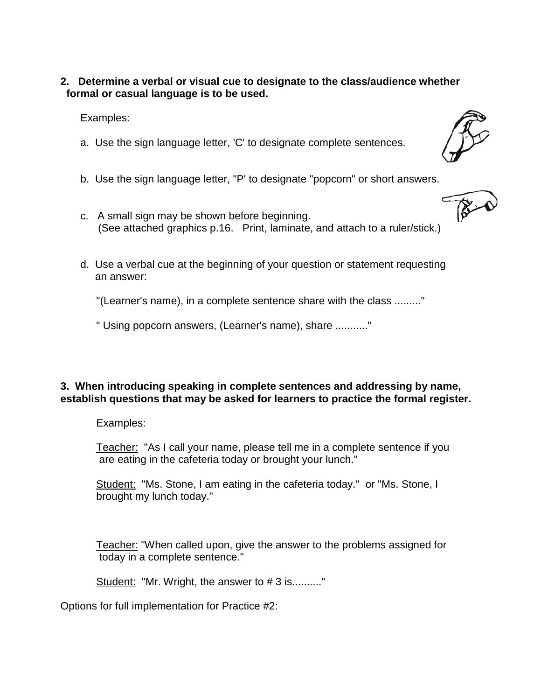**2. Determine a verbal or visual cue to designate to the class/audience whether formal or casual language is to be used.**

Examples:

- a. Use the sign language letter, 'C' to designate complete sentences.
- b. Use the sign language letter, "P' to designate "popcorn" or short answers.
- c. A small sign may be shown before beginning. (See attached graphics p.16. Print, laminate, and attach to a ruler/stick.)
- d. Use a verbal cue at the beginning of your question or statement requesting an answer:

"(Learner's name), in a complete sentence share with the class ........."

" Using popcorn answers, (Learner's name), share ..........."

## **3. When introducing speaking in complete sentences and addressing by name, establish questions that may be asked for learners to practice the formal register.**

Examples:

Teacher: "As I call your name, please tell me in a complete sentence if you are eating in the cafeteria today or brought your lunch."

Student: "Ms. Stone, I am eating in the cafeteria today." or "Ms. Stone, I brought my lunch today."

Teacher: "When called upon, give the answer to the problems assigned for today in a complete sentence."

Student: "Mr. Wright, the answer to #3 is.........."

Options for full implementation for Practice #2: